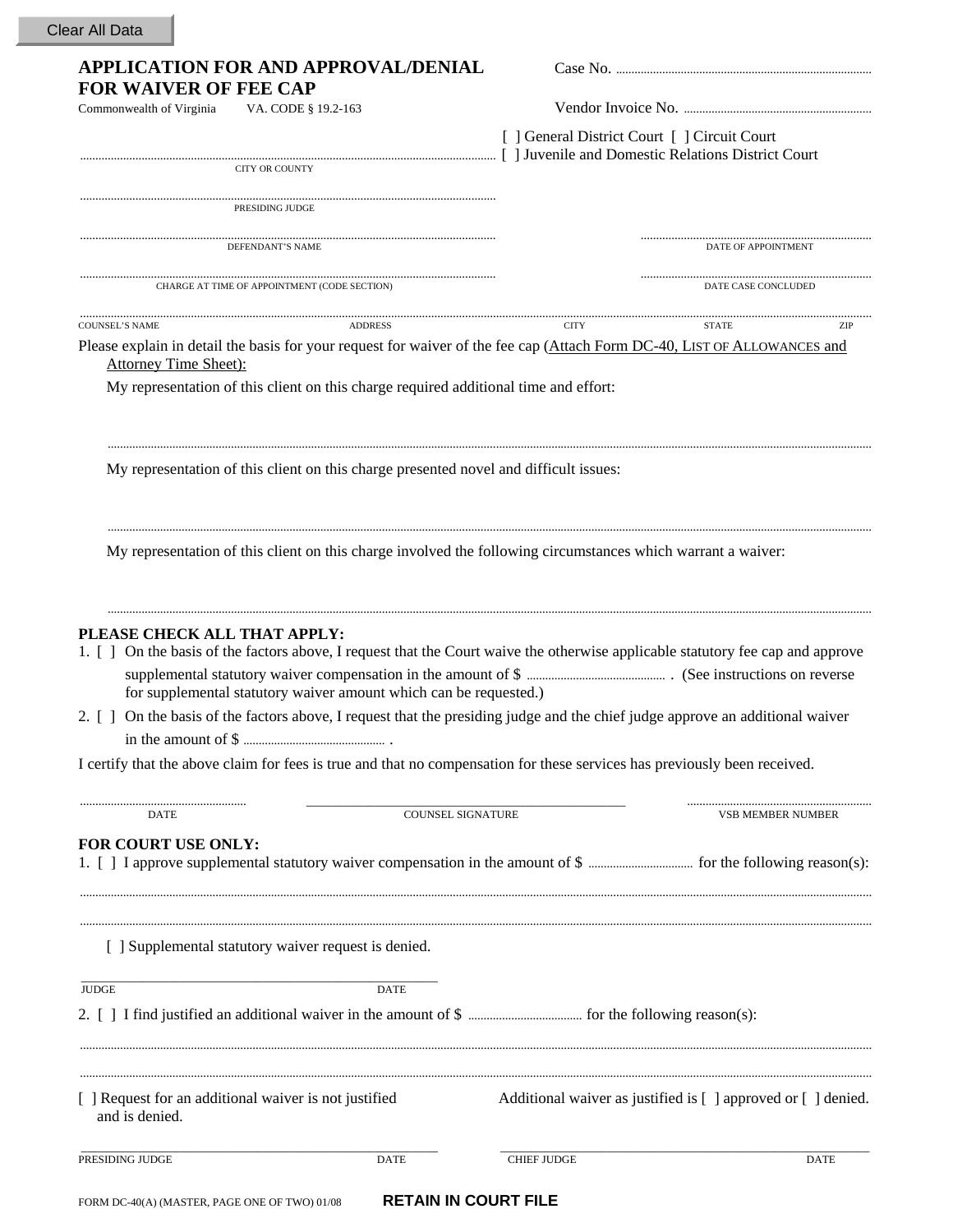## **APPLICATION FOR AND APPROVAL/DENIAL** Case No. ................................................................................... **FOR WAIVER OF FEE CAP**  Commonwealth of Virginia VA. CODE § 19.2-163 Vendor Invoice No. ............................................................. [ ] General District Court [ ] Circuit Court ....................................................................................................................................... [ ] Juvenile and Domestic Relations District Court CITY OR COUNTY ....................................................................................................................................... PRESIDING JUDGE  $\begin{minipage}{0.5cm} \textbf{DEFENDANT'S NAME} \end{minipage}$ CHARGE AT TIME OF APPOINTMENT (CODE SECTION) BATE CASE CONCLUDED ................................................................................................................................................................................................................................................................. COUNSEL'S NAME ADDRESS CITY STATE ZIP Please explain in detail the basis for your request for waiver of the fee cap (Attach Form DC-40, LIST OF ALLOWANCES and Attorney Time Sheet): My representation of this client on this charge required additional time and effort: ........................................................................................................................................................................................................................................................ My representation of this client on this charge presented novel and difficult issues: ........................................................................................................................................................................................................................................................ My representation of this client on this charge involved the following circumstances which warrant a waiver: ........................................................................................................................................................................................................................................................ **PLEASE CHECK ALL THAT APPLY:**  1. [ ] On the basis of the factors above, I request that the Court waive the otherwise applicable statutory fee cap and approve supplemental statutory waiver compensation in the amount of \$ ............................................. . (See instructions on reverse for supplemental statutory waiver amount which can be requested.) 2. [ ] On the basis of the factors above, I request that the presiding judge and the chief judge approve an additional waiver in the amount of \$ .............................................. . I certify that the above claim for fees is true and that no compensation for these services has previously been received. ...................................................... \_\_\_\_\_\_\_\_\_\_\_\_\_\_\_\_\_\_\_\_\_\_\_\_\_\_\_\_\_\_\_\_\_\_\_\_\_\_\_\_\_\_\_\_\_\_\_\_\_\_\_ ............................................................ DATE VSB MEMBER NUMBER NUMBER NUMBER NUMBER NUMBER NUMBER NUMBER **FOR COURT USE ONLY:**  1. [ ] I approve supplemental statutory waiver compensation in the amount of \$ .................................. for the following reason(s): ................................................................................................................................................................................................................................................................. [ ] Supplemental statutory waiver request is denied. \_\_\_\_\_\_\_\_\_\_\_\_\_\_\_\_\_\_\_\_\_\_\_\_\_\_\_\_\_\_\_\_\_\_\_\_\_\_\_\_\_\_\_\_\_\_\_\_\_\_\_\_\_\_\_\_\_ JUDGE DATE . 2. [ ] I find justified an additional waiver in the amount of \$ ..................................... for the following reason(s): ................................................................................................................................................................................................................................................................. [ ] Request for an additional waiver is not justified Additional waiver as justified is [ ] approved or [ ] denied. and is denied.

| PRI | וידי ו | лт<br>- 11 | ATIT |
|-----|--------|------------|------|
|     |        |            |      |

Clear All Data